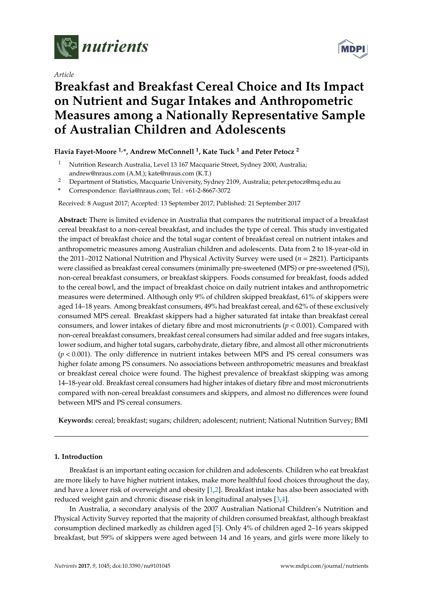

*Article*



# **Breakfast and Breakfast Cereal Choice and Its Impact on Nutrient and Sugar Intakes and Anthropometric Measures among a Nationally Representative Sample of Australian Children and Adolescents**

## **Flavia Fayet-Moore 1,\*, Andrew McConnell <sup>1</sup> , Kate Tuck <sup>1</sup> and Peter Petocz <sup>2</sup>**

- <sup>1</sup> Nutrition Research Australia, Level 13 167 Macquarie Street, Sydney 2000, Australia; andrew@nraus.com (A.M.); kate@nraus.com (K.T.)
- <sup>2</sup> Department of Statistics, Macquarie University, Sydney 2109, Australia; peter.petocz@mq.edu.au
- **\*** Correspondence: flavia@nraus.com; Tel.: +61-2-8667-3072

Received: 8 August 2017; Accepted: 13 September 2017; Published: 21 September 2017

**Abstract:** There is limited evidence in Australia that compares the nutritional impact of a breakfast cereal breakfast to a non-cereal breakfast, and includes the type of cereal. This study investigated the impact of breakfast choice and the total sugar content of breakfast cereal on nutrient intakes and anthropometric measures among Australian children and adolescents. Data from 2 to 18-year-old in the 2011–2012 National Nutrition and Physical Activity Survey were used (*n* = 2821). Participants were classified as breakfast cereal consumers (minimally pre-sweetened (MPS) or pre-sweetened (PS)), non-cereal breakfast consumers, or breakfast skippers. Foods consumed for breakfast, foods added to the cereal bowl, and the impact of breakfast choice on daily nutrient intakes and anthropometric measures were determined. Although only 9% of children skipped breakfast, 61% of skippers were aged 14–18 years. Among breakfast consumers, 49% had breakfast cereal, and 62% of these exclusively consumed MPS cereal. Breakfast skippers had a higher saturated fat intake than breakfast cereal consumers, and lower intakes of dietary fibre and most micronutrients (*p* < 0.001). Compared with non-cereal breakfast consumers, breakfast cereal consumers had similar added and free sugars intakes, lower sodium, and higher total sugars, carbohydrate, dietary fibre, and almost all other micronutrients (*p* < 0.001). The only difference in nutrient intakes between MPS and PS cereal consumers was higher folate among PS consumers. No associations between anthropometric measures and breakfast or breakfast cereal choice were found. The highest prevalence of breakfast skipping was among 14–18-year old. Breakfast cereal consumers had higher intakes of dietary fibre and most micronutrients compared with non-cereal breakfast consumers and skippers, and almost no differences were found between MPS and PS cereal consumers.

**Keywords:** cereal; breakfast; sugars; children; adolescent; nutrient; National Nutrition Survey; BMI

## **1. Introduction**

Breakfast is an important eating occasion for children and adolescents. Children who eat breakfast are more likely to have higher nutrient intakes, make more healthful food choices throughout the day, and have a lower risk of overweight and obesity [\[1,](#page-13-0)[2\]](#page-13-1). Breakfast intake has also been associated with reduced weight gain and chronic disease risk in longitudinal analyses [\[3](#page-13-2)[,4\]](#page-13-3).

In Australia, a secondary analysis of the 2007 Australian National Children's Nutrition and Physical Activity Survey reported that the majority of children consumed breakfast, although breakfast consumption declined markedly as children aged [\[5\]](#page-13-4). Only 4% of children aged 2–16 years skipped breakfast, but 59% of skippers were aged between 14 and 16 years, and girls were more likely to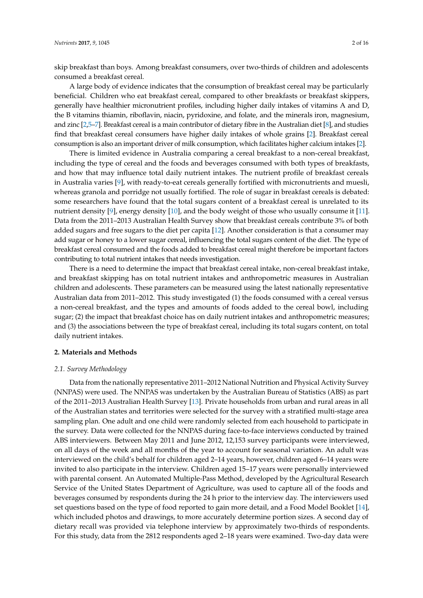skip breakfast than boys. Among breakfast consumers, over two-thirds of children and adolescents consumed a breakfast cereal.

A large body of evidence indicates that the consumption of breakfast cereal may be particularly beneficial. Children who eat breakfast cereal, compared to other breakfasts or breakfast skippers, generally have healthier micronutrient profiles, including higher daily intakes of vitamins A and D, the B vitamins thiamin, riboflavin, niacin, pyridoxine, and folate, and the minerals iron, magnesium, and zinc [\[2](#page-13-1)[,5–](#page-13-4)[7\]](#page-13-5). Breakfast cereal is a main contributor of dietary fibre in the Australian diet [\[8\]](#page-13-6), and studies find that breakfast cereal consumers have higher daily intakes of whole grains [\[2\]](#page-13-1). Breakfast cereal consumption is also an important driver of milk consumption, which facilitates higher calcium intakes [\[2\]](#page-13-1).

There is limited evidence in Australia comparing a cereal breakfast to a non-cereal breakfast, including the type of cereal and the foods and beverages consumed with both types of breakfasts, and how that may influence total daily nutrient intakes. The nutrient profile of breakfast cereals in Australia varies [\[9\]](#page-13-7), with ready-to-eat cereals generally fortified with micronutrients and muesli, whereas granola and porridge not usually fortified. The role of sugar in breakfast cereals is debated: some researchers have found that the total sugars content of a breakfast cereal is unrelated to its nutrient density [\[9\]](#page-13-7), energy density [\[10\]](#page-13-8), and the body weight of those who usually consume it [\[11\]](#page-13-9). Data from the 2011–2013 Australian Health Survey show that breakfast cereals contribute 3% of both added sugars and free sugars to the diet per capita [\[12\]](#page-13-10). Another consideration is that a consumer may add sugar or honey to a lower sugar cereal, influencing the total sugars content of the diet. The type of breakfast cereal consumed and the foods added to breakfast cereal might therefore be important factors contributing to total nutrient intakes that needs investigation.

There is a need to determine the impact that breakfast cereal intake, non-cereal breakfast intake, and breakfast skipping has on total nutrient intakes and anthropometric measures in Australian children and adolescents. These parameters can be measured using the latest nationally representative Australian data from 2011–2012. This study investigated (1) the foods consumed with a cereal versus a non-cereal breakfast, and the types and amounts of foods added to the cereal bowl, including sugar; (2) the impact that breakfast choice has on daily nutrient intakes and anthropometric measures; and (3) the associations between the type of breakfast cereal, including its total sugars content, on total daily nutrient intakes.

## **2. Materials and Methods**

## *2.1. Survey Methodology*

Data from the nationally representative 2011–2012 National Nutrition and Physical Activity Survey (NNPAS) were used. The NNPAS was undertaken by the Australian Bureau of Statistics (ABS) as part of the 2011–2013 Australian Health Survey [\[13\]](#page-13-11). Private households from urban and rural areas in all of the Australian states and territories were selected for the survey with a stratified multi-stage area sampling plan. One adult and one child were randomly selected from each household to participate in the survey. Data were collected for the NNPAS during face-to-face interviews conducted by trained ABS interviewers. Between May 2011 and June 2012, 12,153 survey participants were interviewed, on all days of the week and all months of the year to account for seasonal variation. An adult was interviewed on the child's behalf for children aged 2–14 years, however, children aged 6–14 years were invited to also participate in the interview. Children aged 15–17 years were personally interviewed with parental consent. An Automated Multiple-Pass Method, developed by the Agricultural Research Service of the United States Department of Agriculture, was used to capture all of the foods and beverages consumed by respondents during the 24 h prior to the interview day. The interviewers used set questions based on the type of food reported to gain more detail, and a Food Model Booklet [\[14\]](#page-13-12), which included photos and drawings, to more accurately determine portion sizes. A second day of dietary recall was provided via telephone interview by approximately two-thirds of respondents. For this study, data from the 2812 respondents aged 2–18 years were examined. Two-day data were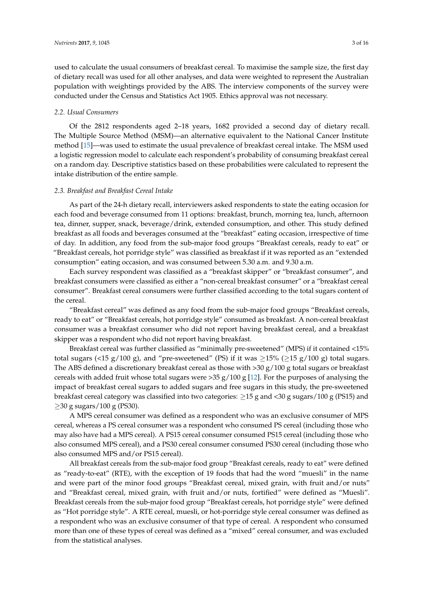used to calculate the usual consumers of breakfast cereal. To maximise the sample size, the first day of dietary recall was used for all other analyses, and data were weighted to represent the Australian population with weightings provided by the ABS. The interview components of the survey were conducted under the Census and Statistics Act 1905. Ethics approval was not necessary.

## *2.2. Usual Consumers*

Of the 2812 respondents aged 2–18 years, 1682 provided a second day of dietary recall. The Multiple Source Method (MSM)—an alternative equivalent to the National Cancer Institute method [\[15\]](#page-14-0)—was used to estimate the usual prevalence of breakfast cereal intake. The MSM used a logistic regression model to calculate each respondent's probability of consuming breakfast cereal on a random day. Descriptive statistics based on these probabilities were calculated to represent the intake distribution of the entire sample.

## *2.3. Breakfast and Breakfast Cereal Intake*

As part of the 24-h dietary recall, interviewers asked respondents to state the eating occasion for each food and beverage consumed from 11 options: breakfast, brunch, morning tea, lunch, afternoon tea, dinner, supper, snack, beverage/drink, extended consumption, and other. This study defined breakfast as all foods and beverages consumed at the "breakfast" eating occasion, irrespective of time of day. In addition, any food from the sub-major food groups "Breakfast cereals, ready to eat" or "Breakfast cereals, hot porridge style" was classified as breakfast if it was reported as an "extended consumption" eating occasion, and was consumed between 5.30 a.m. and 9.30 a.m.

Each survey respondent was classified as a "breakfast skipper" or "breakfast consumer", and breakfast consumers were classified as either a "non-cereal breakfast consumer" or a "breakfast cereal consumer". Breakfast cereal consumers were further classified according to the total sugars content of the cereal.

"Breakfast cereal" was defined as any food from the sub-major food groups "Breakfast cereals, ready to eat" or "Breakfast cereals, hot porridge style" consumed as breakfast. A non-cereal breakfast consumer was a breakfast consumer who did not report having breakfast cereal, and a breakfast skipper was a respondent who did not report having breakfast.

Breakfast cereal was further classified as "minimally pre-sweetened" (MPS) if it contained <15% total sugars (<15 g/100 g), and "pre-sweetened" (PS) if it was  $\geq$ 15% ( $\geq$ 15 g/100 g) total sugars. The ABS defined a discretionary breakfast cereal as those with  $>$ 30 g/100 g total sugars or breakfast cereals with added fruit whose total sugars were  $>35 g/100 g$  [\[12\]](#page-13-10). For the purposes of analysing the impact of breakfast cereal sugars to added sugars and free sugars in this study, the pre-sweetened breakfast cereal category was classified into two categories:  $\geq$ 15 g and <30 g sugars/100 g (PS15) and  $\geq$ 30 g sugars/100 g (PS30).

A MPS cereal consumer was defined as a respondent who was an exclusive consumer of MPS cereal, whereas a PS cereal consumer was a respondent who consumed PS cereal (including those who may also have had a MPS cereal). A PS15 cereal consumer consumed PS15 cereal (including those who also consumed MPS cereal), and a PS30 cereal consumer consumed PS30 cereal (including those who also consumed MPS and/or PS15 cereal).

All breakfast cereals from the sub-major food group "Breakfast cereals, ready to eat" were defined as "ready-to-eat" (RTE), with the exception of 19 foods that had the word "muesli" in the name and were part of the minor food groups "Breakfast cereal, mixed grain, with fruit and/or nuts" and "Breakfast cereal, mixed grain, with fruit and/or nuts, fortified" were defined as "Muesli". Breakfast cereals from the sub-major food group "Breakfast cereals, hot porridge style" were defined as "Hot porridge style". A RTE cereal, muesli, or hot-porridge style cereal consumer was defined as a respondent who was an exclusive consumer of that type of cereal. A respondent who consumed more than one of these types of cereal was defined as a "mixed" cereal consumer, and was excluded from the statistical analyses.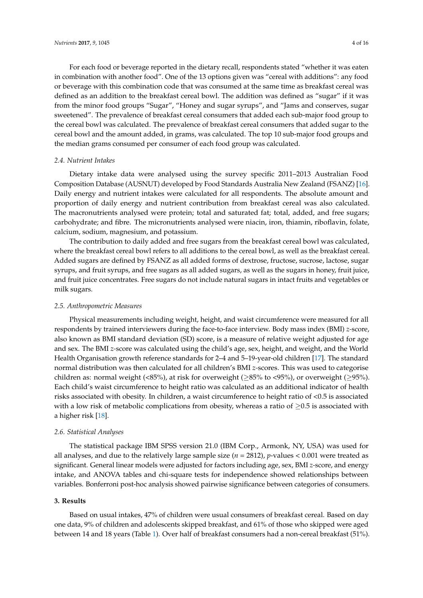For each food or beverage reported in the dietary recall, respondents stated "whether it was eaten in combination with another food". One of the 13 options given was "cereal with additions": any food or beverage with this combination code that was consumed at the same time as breakfast cereal was defined as an addition to the breakfast cereal bowl. The addition was defined as "sugar" if it was from the minor food groups "Sugar", "Honey and sugar syrups", and "Jams and conserves, sugar sweetened". The prevalence of breakfast cereal consumers that added each sub-major food group to the cereal bowl was calculated. The prevalence of breakfast cereal consumers that added sugar to the cereal bowl and the amount added, in grams, was calculated. The top 10 sub-major food groups and

## *2.4. Nutrient Intakes*

Dietary intake data were analysed using the survey specific 2011–2013 Australian Food Composition Database (AUSNUT) developed by Food Standards Australia New Zealand (FSANZ) [\[16\]](#page-14-1). Daily energy and nutrient intakes were calculated for all respondents. The absolute amount and proportion of daily energy and nutrient contribution from breakfast cereal was also calculated. The macronutrients analysed were protein; total and saturated fat; total, added, and free sugars; carbohydrate; and fibre. The micronutrients analysed were niacin, iron, thiamin, riboflavin, folate, calcium, sodium, magnesium, and potassium.

the median grams consumed per consumer of each food group was calculated.

The contribution to daily added and free sugars from the breakfast cereal bowl was calculated, where the breakfast cereal bowl refers to all additions to the cereal bowl, as well as the breakfast cereal. Added sugars are defined by FSANZ as all added forms of dextrose, fructose, sucrose, lactose, sugar syrups, and fruit syrups, and free sugars as all added sugars, as well as the sugars in honey, fruit juice, and fruit juice concentrates. Free sugars do not include natural sugars in intact fruits and vegetables or milk sugars.

### *2.5. Anthropometric Measures*

Physical measurements including weight, height, and waist circumference were measured for all respondents by trained interviewers during the face-to-face interview. Body mass index (BMI) *z-*score, also known as BMI standard deviation (SD) score, is a measure of relative weight adjusted for age and sex. The BMI *z-*score was calculated using the child's age, sex, height, and weight, and the World Health Organisation growth reference standards for 2–4 and 5–19-year-old children [\[17\]](#page-14-2). The standard normal distribution was then calculated for all children's BMI *z-*scores. This was used to categorise children as: normal weight (<85%), at risk for overweight ( $\geq$ 85% to <95%), or overweight ( $\geq$ 95%). Each child's waist circumference to height ratio was calculated as an additional indicator of health risks associated with obesity. In children, a waist circumference to height ratio of <0.5 is associated with a low risk of metabolic complications from obesity, whereas a ratio of  $\geq 0.5$  is associated with a higher risk [\[18\]](#page-14-3).

## *2.6. Statistical Analyses*

The statistical package IBM SPSS version 21.0 (IBM Corp., Armonk, NY, USA) was used for all analyses, and due to the relatively large sample size (*n* = 2812), *p*-values < 0.001 were treated as significant. General linear models were adjusted for factors including age, sex, BMI *z-*score, and energy intake, and ANOVA tables and chi-square tests for independence showed relationships between variables. Bonferroni post-hoc analysis showed pairwise significance between categories of consumers.

## **3. Results**

Based on usual intakes, 47% of children were usual consumers of breakfast cereal. Based on day one data, 9% of children and adolescents skipped breakfast, and 61% of those who skipped were aged between 14 and 18 years (Table [1\)](#page-4-0). Over half of breakfast consumers had a non-cereal breakfast (51%).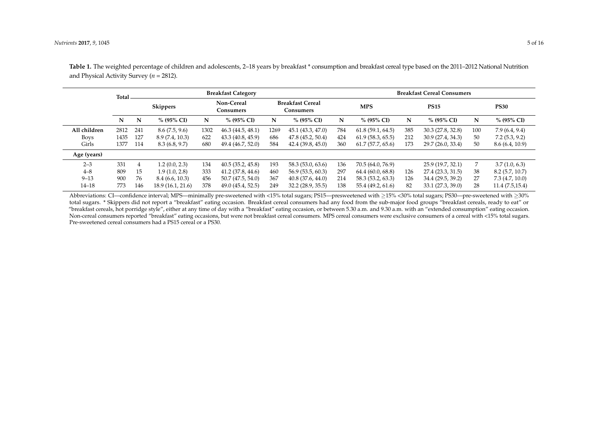|              | Total |     | <b>Breakfast Category</b>                  |      |                                      |      |                   |     | <b>Breakfast Cereal Consumers</b> |     |                   |     |                |  |
|--------------|-------|-----|--------------------------------------------|------|--------------------------------------|------|-------------------|-----|-----------------------------------|-----|-------------------|-----|----------------|--|
|              |       |     | Non-Cereal<br><b>Skippers</b><br>Consumers |      | <b>Breakfast Cereal</b><br>Consumers |      | <b>MPS</b>        |     | <b>PS15</b>                       |     | <b>PS30</b>       |     |                |  |
|              | N     | N   | $% (95\% CI)$                              | N    | % (95% CI)                           | N    | % (95% CI)        | N   | $% (95\% CI)$                     | N   | $% (95\% CI)$     | N   | % (95% CI)     |  |
| All children | 2812  | 241 | 8.6(7.5, 9.6)                              | 1302 | 46.3(44.5, 48.1)                     | 1269 | 45.1 (43.3, 47.0) | 784 | 61.8(59.1, 64.5)                  | 385 | 30.3 (27.8, 32.8) | 100 | 7.9(6.4, 9.4)  |  |
| <b>Boys</b>  | 1435  | 127 | 8.9 (7.4, 10.3)                            | 622  | 43.3 (40.8, 45.9)                    | 686  | 47.8(45.2, 50.4)  | 424 | 61.9(58.3, 65.5)                  | 212 | 30.9 (27.4, 34.3) | 50  | 7.2(5.3, 9.2)  |  |
| Girls        | 1377  | 114 | 8.3(6.8, 9.7)                              | 680  | 49.4 (46.7, 52.0)                    | 584  | 42.4(39.8, 45.0)  | 360 | 61.7(57.7, 65.6)                  | 173 | 29.7 (26.0, 33.4) | 50  | 8.6(6.4, 10.9) |  |
| Age (years)  |       |     |                                            |      |                                      |      |                   |     |                                   |     |                   |     |                |  |
| $2 - 3$      | 331   | 4   | 1.2(0.0, 2.3)                              | 134  | 40.5(35.2, 45.8)                     | 193  | 58.3 (53.0, 63.6) | 136 | 70.5 (64.0, 76.9)                 |     | 25.9 (19.7, 32.1) | 7   | 3.7(1.0, 6.3)  |  |
| $4 - 8$      | 809   | 15  | 1.9(1.0, 2.8)                              | 333  | 41.2(37.8, 44.6)                     | 460  | 56.9(53.5, 60.3)  | 297 | 64.4 (60.0, 68.8)                 | 126 | 27.4 (23.3, 31.5) | 38  | 8.2(5.7, 10.7) |  |
| $9 - 13$     | 900   | 76  | 8.4(6.6, 10.3)                             | 456  | 50.7(47.5, 54.0)                     | 367  | 40.8(37.6, 44.0)  | 214 | 58.3 (53.2, 63.3)                 | 126 | 34.4 (29.5, 39.2) | 27  | 7.3(4.7, 10.0) |  |
| $14 - 18$    | 773   | 146 | 18.9 (16.1, 21.6)                          | 378  | 49.0 (45.4, 52.5)                    | 249  | 32.2(28.9, 35.5)  | 138 | 55.4 (49.2, 61.6)                 | 82  | 33.1 (27.3, 39.0) | 28  | 11.4(7.5.15.4) |  |

Table 1. The weighted percentage of children and adolescents, 2–18 years by breakfast \* consumption and breakfast cereal type based on the 2011–2012 National Nutrition and Physical Activity Survey (*n* = 2812).

<span id="page-4-0"></span>Abbreviations: CI—confidence interval; MPS—minimally pre-sweetened with <15% total sugars; PS15—presweetened with ≥15% <30% total sugars; PS30—pre-sweetened with ≥30% total sugars. \* Skippers did not report a "breakfast" eating occasion. Breakfast cereal consumers had any food from the sub-major food groups "breakfast cereals, ready to eat" or "breakfast cereals, hot porridge style", either at any time of day with a "breakfast" eating occasion, or between 5.30 a.m. and 9.30 a.m. with an "extended consumption" eating occasion. Non-cereal consumers reported "breakfast" eating occasions, but were not breakfast cereal consumers. MPS cereal consumers were exclusive consumers of a cereal with <15% total sugars. Pre-sweetened cereal consumers had a PS15 cereal or a PS30.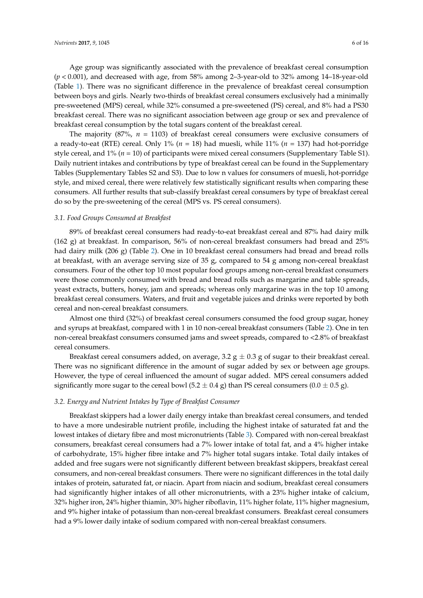Age group was significantly associated with the prevalence of breakfast cereal consumption (*p* < 0.001), and decreased with age, from 58% among 2–3-year-old to 32% among 14–18-year-old (Table [1\)](#page-4-0). There was no significant difference in the prevalence of breakfast cereal consumption between boys and girls. Nearly two-thirds of breakfast cereal consumers exclusively had a minimally pre-sweetened (MPS) cereal, while 32% consumed a pre-sweetened (PS) cereal, and 8% had a PS30 breakfast cereal. There was no significant association between age group or sex and prevalence of breakfast cereal consumption by the total sugars content of the breakfast cereal.

The majority (87%, *n* = 1103) of breakfast cereal consumers were exclusive consumers of a ready-to-eat (RTE) cereal. Only 1% (*n* = 18) had muesli, while 11% (*n* = 137) had hot-porridge style cereal, and 1% (*n* = 10) of participants were mixed cereal consumers (Supplementary Table S1). Daily nutrient intakes and contributions by type of breakfast cereal can be found in the Supplementary Tables (Supplementary Tables S2 and S3). Due to low n values for consumers of muesli, hot-porridge style, and mixed cereal, there were relatively few statistically significant results when comparing these consumers. All further results that sub-classify breakfast cereal consumers by type of breakfast cereal do so by the pre-sweetening of the cereal (MPS vs. PS cereal consumers).

#### *3.1. Food Groups Consumed at Breakfast*

89% of breakfast cereal consumers had ready-to-eat breakfast cereal and 87% had dairy milk (162 g) at breakfast. In comparison, 56% of non-cereal breakfast consumers had bread and 25% had dairy milk (206 g) (Table [2\)](#page-6-0). One in 10 breakfast cereal consumers had bread and bread rolls at breakfast, with an average serving size of 35 g, compared to 54 g among non-cereal breakfast consumers. Four of the other top 10 most popular food groups among non-cereal breakfast consumers were those commonly consumed with bread and bread rolls such as margarine and table spreads, yeast extracts, butters, honey, jam and spreads; whereas only margarine was in the top 10 among breakfast cereal consumers. Waters, and fruit and vegetable juices and drinks were reported by both cereal and non-cereal breakfast consumers.

Almost one third (32%) of breakfast cereal consumers consumed the food group sugar, honey and syrups at breakfast, compared with 1 in 10 non-cereal breakfast consumers (Table [2\)](#page-6-0). One in ten non-cereal breakfast consumers consumed jams and sweet spreads, compared to <2.8% of breakfast cereal consumers.

Breakfast cereal consumers added, on average, 3.2  $g \pm 0.3$  g of sugar to their breakfast cereal. There was no significant difference in the amount of sugar added by sex or between age groups. However, the type of cereal influenced the amount of sugar added. MPS cereal consumers added significantly more sugar to the cereal bowl  $(5.2 \pm 0.4 \text{ g})$  than PS cereal consumers  $(0.0 \pm 0.5 \text{ g})$ .

#### *3.2. Energy and Nutrient Intakes by Type of Breakfast Consumer*

Breakfast skippers had a lower daily energy intake than breakfast cereal consumers, and tended to have a more undesirable nutrient profile, including the highest intake of saturated fat and the lowest intakes of dietary fibre and most micronutrients (Table [3\)](#page-7-0). Compared with non-cereal breakfast consumers, breakfast cereal consumers had a 7% lower intake of total fat, and a 4% higher intake of carbohydrate, 15% higher fibre intake and 7% higher total sugars intake. Total daily intakes of added and free sugars were not significantly different between breakfast skippers, breakfast cereal consumers, and non-cereal breakfast consumers. There were no significant differences in the total daily intakes of protein, saturated fat, or niacin. Apart from niacin and sodium, breakfast cereal consumers had significantly higher intakes of all other micronutrients, with a 23% higher intake of calcium, 32% higher iron, 24% higher thiamin, 30% higher riboflavin, 11% higher folate, 11% higher magnesium, and 9% higher intake of potassium than non-cereal breakfast consumers. Breakfast cereal consumers had a 9% lower daily intake of sodium compared with non-cereal breakfast consumers.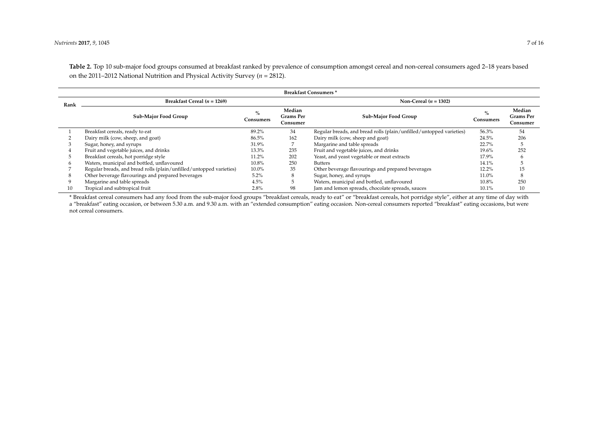**Table 2.** Top 10 sub-major food groups consumed at breakfast ranked by prevalence of consumption amongst cereal and non-cereal consumers aged 2–18 years based on the 2011–2012 National Nutrition and Physical Activity Survey (*n* = 2812).

| <b>Breakfast Consumers*</b> |                                                                     |                                                      |                         |                                                                     |                   |                                        |  |  |  |  |
|-----------------------------|---------------------------------------------------------------------|------------------------------------------------------|-------------------------|---------------------------------------------------------------------|-------------------|----------------------------------------|--|--|--|--|
| Rank                        | Breakfast Cereal $(n = 1269)$                                       |                                                      | Non-Cereal $(n = 1302)$ |                                                                     |                   |                                        |  |  |  |  |
|                             | <b>Sub-Major Food Group</b>                                         | Median<br>$\%$<br>Grams Per<br>Consumers<br>Consumer |                         | Sub-Major Food Group                                                | $\%$<br>Consumers | Median<br><b>Grams Per</b><br>Consumer |  |  |  |  |
|                             | Breakfast cereals, ready to eat                                     | 89.2%                                                | 34                      | Regular breads, and bread rolls (plain/unfilled/untopped varieties) | 56.3%             | 54                                     |  |  |  |  |
|                             | Dairy milk (cow, sheep, and goat)                                   | 86.5%                                                | 162                     | Dairy milk (cow, sheep and goat)                                    | 24.5%             | 206                                    |  |  |  |  |
|                             | Sugar, honey, and syrups                                            | 31.9%                                                |                         | Margarine and table spreads                                         | 22.7%             |                                        |  |  |  |  |
|                             | Fruit and vegetable juices, and drinks                              | 13.3%                                                | 235                     | Fruit and vegetable juices, and drinks                              | 19.6%             | 252                                    |  |  |  |  |
|                             | Breakfast cereals, hot porridge style                               | 11.2%                                                | 202                     | Yeast, and yeast vegetable or meat extracts                         | 17.9%             |                                        |  |  |  |  |
|                             | Waters, municipal and bottled, unflavoured                          | 10.8%                                                | 250                     | <b>Butters</b>                                                      | 14.1%             |                                        |  |  |  |  |
|                             | Regular breads, and bread rolls (plain/unfilled/untopped varieties) | $10.0\%$                                             | 35                      | Other beverage flavourings and prepared beverages                   | 12.2%             | 15                                     |  |  |  |  |
|                             | Other beverage flavourings and prepared beverages                   | 5.2%                                                 | 8                       | Sugar, honey, and syrups                                            | 11.0%             |                                        |  |  |  |  |
|                             | Margarine and table spreads                                         | 4.5%                                                 |                         | Waters, municipal and bottled, unflavoured                          | 10.8%             | 250                                    |  |  |  |  |
| 10                          | Tropical and subtropical fruit                                      | 2.8%                                                 | 98                      | Jam and lemon spreads, chocolate spreads, sauces                    | 10.1%             | 10                                     |  |  |  |  |

<span id="page-6-0"></span>\* Breakfast cereal consumers had any food from the sub-major food groups "breakfast cereals, ready to eat" or "breakfast cereals, hot porridge style", either at any time of day with a "breakfast" eating occasion, or between 5.30 a.m. and 9.30 a.m. with an "extended consumption" eating occasion. Non-cereal consumers reported "breakfast" eating occasions, but were not cereal consumers.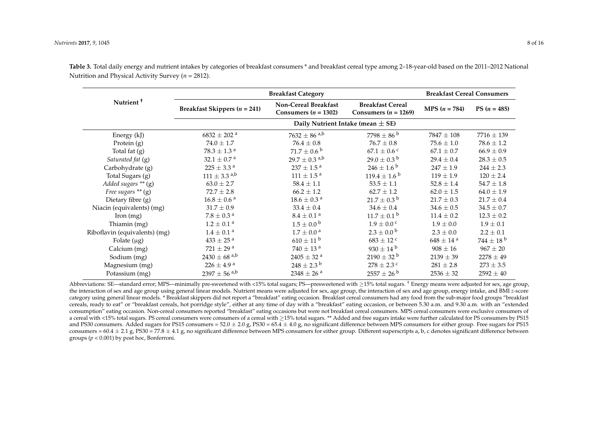|                               |                                       | <b>Breakfast Cereal Consumers</b>                |                                                     |                           |                  |
|-------------------------------|---------------------------------------|--------------------------------------------------|-----------------------------------------------------|---------------------------|------------------|
| Nutrient <sup>+</sup>         | <b>Breakfast Skippers</b> $(n = 241)$ | Non-Cereal Breakfast<br>Consumers ( $n = 1302$ ) | <b>Breakfast Cereal</b><br>Consumers ( $n = 1269$ ) | <b>MPS</b> $(n = 784)$    | PS $(n = 485)$   |
|                               |                                       |                                                  |                                                     |                           |                  |
| Energy (kJ)                   | $6832 \pm 202$ <sup>a</sup>           | $7632 \pm 86$ <sup>a,b</sup>                     | $7798 \pm 86^{\mathrm{b}}$                          | $7847 \pm 108$            | $7716 \pm 139$   |
| Protein $(g)$                 | $74.0 \pm 1.7$                        | $76.4 \pm 0.8$                                   | $76.7 \pm 0.8$                                      | $75.6 \pm 1.0$            | $78.6 \pm 1.2$   |
| Total fat $(g)$               | $78.3 \pm 1.3$ <sup>a</sup>           | $71.7 \pm 0.6^{\circ b}$                         | $67.1 \pm 0.6$ c                                    | $67.1 \pm 0.7$            | $66.9 \pm 0.9$   |
| Saturated fat (g)             | $32.1 \pm 0.7$ <sup>a</sup>           | $29.7 \pm 0.3$ <sup>a,b</sup>                    | $29.0 \pm 0.3^{\mathrm{b}}$                         | $29.4 \pm 0.4$            | $28.3 \pm 0.5$   |
| Carbohydrate (g)              | $225 \pm 3.3^{\text{ a}}$             | $237\pm1.5$ $^{\rm a}$                           | $246 \pm 1.6^{\circ}$                               | $247 \pm 1.9$             | $244 \pm 2.3$    |
| Total Sugars (g)              | $111 \pm 3.3$ <sup>a,b</sup>          | $111 \pm 1.5^{\text{ a}}$                        | $119.4 \pm 1.6^{\circ}$                             | $119 \pm 1.9$             | $120 \pm 2.4$    |
| Added sugars ** (g)           | $63.0 \pm 2.7$                        | $58.4 \pm 1.1$                                   | $53.5 \pm 1.1$                                      | $52.8 \pm 1.4$            | $54.7 \pm 1.8$   |
| Free sugars $**$ (g)          | $72.7 \pm 2.8$                        | $66.2 \pm 1.2$                                   | $62.7 \pm 1.2$                                      | $62.0 \pm 1.5$            | $64.0 \pm 1.9$   |
| Dietary fibre (g)             | $16.8 \pm 0.6$ <sup>a</sup>           | $18.6 \pm 0.3$ <sup>a</sup>                      | $21.7 \pm 0.3^{\mathrm{b}}$                         | $21.7 \pm 0.3$            | $21.7 \pm 0.4$   |
| Niacin (equivalents) (mg)     | $31.7 \pm 0.9$                        | $33.4 \pm 0.4$                                   | $34.6 \pm 0.4$                                      | $34.6 \pm 0.5$            | $34.5 \pm 0.7$   |
| $\pi$ (mg)                    | $7.8 \pm 0.3$ <sup>a</sup>            | $8.4 \pm 0.1$ <sup>a</sup>                       | $11.7 \pm 0.1^{\circ}$                              | $11.4 \pm 0.2$            | $12.3 \pm 0.2$   |
| Thiamin (mg)                  | $1.2 \pm 0.1$ <sup>a</sup>            | $1.5 \pm 0.0^{\circ}$                            | $1.9 \pm 0.0$ c                                     | $1.9 \pm 0.0$             | $1.9 \pm 0.1$    |
| Riboflavin (equivalents) (mg) | $1.4 \pm 0.1$ <sup>a</sup>            | $1.7 \pm 0.0^{\text{ a}}$                        | $2.3 \pm 0.0^{\circ}$                               | $2.3 \pm 0.0$             | $2.2 \pm 0.1$    |
| Folate $(\mu g)$              | $433 \pm 25$ <sup>a</sup>             | $610 \pm 11$ b                                   | $683 \pm 12$ c                                      | $648 \pm 14$ <sup>a</sup> | $744 \pm 18^{b}$ |
| Calcium (mg)                  | $721 \pm 29$ <sup>a</sup>             | $740 \pm 13$ <sup>a</sup>                        | $930 \pm 14^{\mathrm{b}}$                           | $908 \pm 16$              | $967 \pm 20$     |
| Sodium (mg)                   | $2430 \pm 68$ a,b                     | $2405 \pm 32$ <sup>a</sup>                       | $2190 \pm 32$ <sup>b</sup>                          | $2139 \pm 39$             | $2278 \pm 49$    |
| Magnesium (mg)                | $226 \pm 4.9^{\text{ a}}$             | $248 \pm 2.3^{\circ}$                            | $278 \pm 2.3$ c                                     | $281 \pm 2.8$             | $273 \pm 3.5$    |
| Potassium (mg)                | $2397 \pm 56$ <sup>a,b</sup>          | $2348 \pm 26$ <sup>a</sup>                       | $2557 \pm 26^{\circ b}$                             | $2536 \pm 32$             | $2592 \pm 40$    |

**Table 3.** Total daily energy and nutrient intakes by categories of breakfast consumers \* and breakfast cereal type among 2–18-year-old based on the 2011–2012 National Nutrition and Physical Activity Survey (*n* = 2812).

<span id="page-7-0"></span>Abbreviations: SE—standard error; MPS—minimally pre-sweetened with <15% total sugars; PS—presweetened with >15% total sugars. † Energy means were adjusted for sex, age group, the interaction of sex and age group using general linear models. Nutrient means were adjusted for sex, age group, the interaction of sex and age group, energy intake, and BMI *z-*score category using general linear models. \* Breakfast skippers did not report a "breakfast" eating occasion. Breakfast cereal consumers had any food from the sub-major food groups "breakfast cereals, ready to eat" or "breakfast cereals, hot porridge style", either at any time of day with a "breakfast" eating occasion, or between 5.30 a.m. and 9.30 a.m. with an "extended consumption" eating occasion. Non-cereal consumers reported "breakfast" eating occasions but were not breakfast cereal consumers. MPS cereal consumers were exclusive consumers of a cereal with <15% total sugars. PS cereal consumers were consumers of a cereal with ≥15% total sugars. \*\* Added and free sugars intake were further calculated for PS consumers by PS15 and PS30 consumers. Added sugars for PS15 consumers =  $52.0 \pm 2.0 g$ , PS30 =  $65.4 \pm 4.0 g$ , no significant difference between MPS consumers for either group. Free sugars for PS15 consumers =  $60.4 \pm 2.1$  g, PS30 = 77.8  $\pm$  4.1 g, no significant difference between MPS consumers for either group. Different superscripts a, b, c denotes significant difference between groups  $(p < 0.001)$  by post hoc, Bonferroni.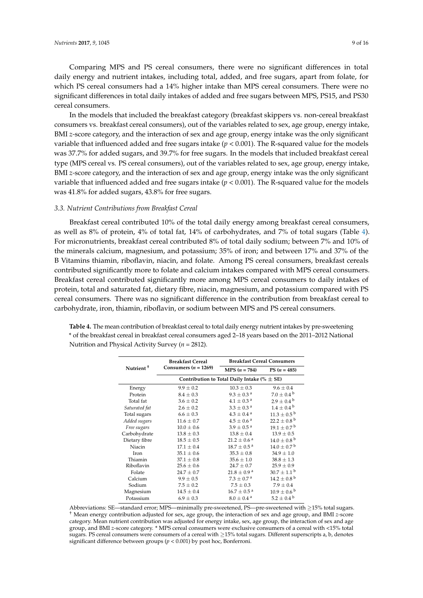Comparing MPS and PS cereal consumers, there were no significant differences in total daily energy and nutrient intakes, including total, added, and free sugars, apart from folate, for which PS cereal consumers had a 14% higher intake than MPS cereal consumers. There were no significant differences in total daily intakes of added and free sugars between MPS, PS15, and PS30 cereal consumers.

In the models that included the breakfast category (breakfast skippers vs. non-cereal breakfast consumers vs. breakfast cereal consumers), out of the variables related to sex, age group, energy intake, BMI *z-*score category, and the interaction of sex and age group, energy intake was the only significant variable that influenced added and free sugars intake (*p* < 0.001). The R-squared value for the models was 37.7% for added sugars, and 39.7% for free sugars. In the models that included breakfast cereal type (MPS cereal vs. PS cereal consumers), out of the variables related to sex, age group, energy intake, BMI *z-*score category, and the interaction of sex and age group, energy intake was the only significant variable that influenced added and free sugars intake (*p* < 0.001). The R-squared value for the models was 41.8% for added sugars, 43.8% for free sugars.

## *3.3. Nutrient Contributions from Breakfast Cereal*

Breakfast cereal contributed 10% of the total daily energy among breakfast cereal consumers, as well as 8% of protein, 4% of total fat, 14% of carbohydrates, and 7% of total sugars (Table [4\)](#page-8-0). For micronutrients, breakfast cereal contributed 8% of total daily sodium; between 7% and 10% of the minerals calcium, magnesium, and potassium; 35% of iron; and between 17% and 37% of the B Vitamins thiamin, riboflavin, niacin, and folate. Among PS cereal consumers, breakfast cereals contributed significantly more to folate and calcium intakes compared with MPS cereal consumers. Breakfast cereal contributed significantly more among MPS cereal consumers to daily intakes of protein, total and saturated fat, dietary fibre, niacin, magnesium, and potassium compared with PS cereal consumers. There was no significant difference in the contribution from breakfast cereal to carbohydrate, iron, thiamin, riboflavin, or sodium between MPS and PS cereal consumers.

|                       | <b>Breakfast Cereal</b>                         | <b>Breakfast Cereal Consumers</b> |                             |  |  |  |  |  |  |
|-----------------------|-------------------------------------------------|-----------------------------------|-----------------------------|--|--|--|--|--|--|
| Nutrient <sup>+</sup> | Consumers $(n = 1269)$                          | $MPS (n = 784)$                   | PS $(n = 485)$              |  |  |  |  |  |  |
|                       | Contribution to Total Daily Intake (% $\pm$ SE) |                                   |                             |  |  |  |  |  |  |
| Energy                | $9.9 \pm 0.2$                                   | $10.3 \pm 0.3$                    | $9.6 \pm 0.4$               |  |  |  |  |  |  |
| Protein               | $8.4 \pm 0.3$                                   | $9.3 \pm 0.3$ <sup>a</sup>        | $7.0 \pm 0.4^{\circ}$       |  |  |  |  |  |  |
| Total fat             | $3.6 \pm 0.2$                                   | $4.1 \pm 0.3$ <sup>a</sup>        | $2.9 \pm 0.4^{\circ}$       |  |  |  |  |  |  |
| Saturated fat         | $2.6 \pm 0.2$                                   | $3.3 \pm 0.3$ <sup>a</sup>        | $1.4 \pm 0.4^{\text{ b}}$   |  |  |  |  |  |  |
| Total sugars          | $6.6 \pm 0.3$                                   | $4.3 \pm 0.4$ <sup>a</sup>        | $11.3 \pm 0.5^{\circ}$      |  |  |  |  |  |  |
| Added sugars          | $11.6 \pm 0.7$                                  | $4.5 \pm 0.6$ <sup>a</sup>        | $22.2 \pm 0.8^{\mathrm{b}}$ |  |  |  |  |  |  |
| Free sugars           | $10.0 \pm 0.6$                                  | $3.9 \pm 0.5^{\text{a}}$          | $19.1 \pm 0.7^{\mathrm{b}}$ |  |  |  |  |  |  |
| Carbohydrate          | $13.8 \pm 0.3$                                  | $13.8 \pm 0.4$                    | $13.9 \pm 0.5$              |  |  |  |  |  |  |
| Dietary fibre         | $18.5 \pm 0.5$                                  | $21.2 \pm 0.6$ <sup>a</sup>       | $14.0 \pm 0.8^{\text{ b}}$  |  |  |  |  |  |  |
| Niacin                | $17.1 \pm 0.4$                                  | $18.7 \pm 0.5^{\text{ a}}$        | $14.0 \pm 0.7^{\mathrm{b}}$ |  |  |  |  |  |  |
| Iron                  | $35.1 \pm 0.6$                                  | $35.3 \pm 0.8$                    | $34.9 \pm 1.0$              |  |  |  |  |  |  |
| Thiamin               | $37.1 \pm 0.8$                                  | $35.6 \pm 1.0$                    | $38.8 \pm 1.3$              |  |  |  |  |  |  |
| Riboflavin            | $25.6 \pm 0.6$                                  | $24.7 \pm 0.7$                    | $25.9 \pm 0.9$              |  |  |  |  |  |  |
| Folate                | $24.7 \pm 0.7$                                  | $21.8 \pm 0.9^{\text{ a}}$        | $30.7 \pm 1.1^{\circ}$      |  |  |  |  |  |  |
| Calcium               | $9.9 \pm 0.5$                                   | $7.3 \pm 0.7$ <sup>a</sup>        | $14.2 \pm 0.8$ <sup>b</sup> |  |  |  |  |  |  |
| Sodium                | $7.5 \pm 0.2$                                   | $7.5 \pm 0.3$                     | $7.9 \pm 0.4$               |  |  |  |  |  |  |
| Magnesium             | $14.5 \pm 0.4$                                  | $16.7 \pm 0.5^{\text{ a}}$        | $10.9 \pm 0.6^{\mathrm{b}}$ |  |  |  |  |  |  |
| Potassium             | $6.9 \pm 0.3$                                   | $8.0 \pm 0.4$ <sup>a</sup>        | $5.2 \pm 0.4^{\circ}$       |  |  |  |  |  |  |

<span id="page-8-0"></span>**Table 4.** The mean contribution of breakfast cereal to total daily energy nutrient intakes by pre-sweetening \* of the breakfast cereal in breakfast cereal consumers aged 2–18 years based on the 2011–2012 National Nutrition and Physical Activity Survey (*n* = 2812).

Abbreviations: SE—standard error; MPS—minimally pre-sweetened, PS—pre-sweetened with ≥15% total sugars. † Mean energy contribution adjusted for sex, age group, the interaction of sex and age group, and BMI *z-*score category. Mean nutrient contribution was adjusted for energy intake, sex, age group, the interaction of sex and age group, and BMI *z-*score category. \* MPS cereal consumers were exclusive consumers of a cereal with <15% total sugars. PS cereal consumers were consumers of a cereal with ≥15% total sugars. Different superscripts a, b, denotes significant difference between groups (*p* < 0.001) by post hoc, Bonferroni.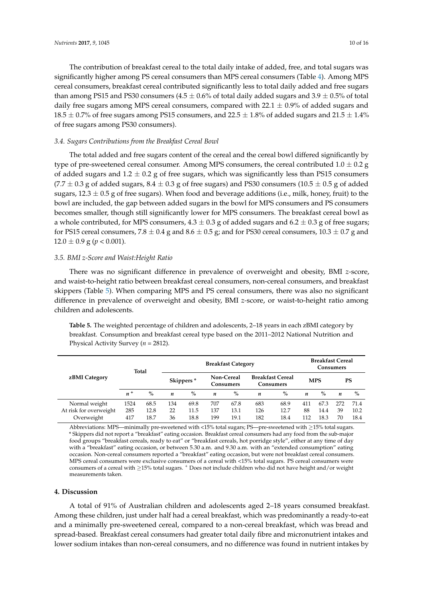The contribution of breakfast cereal to the total daily intake of added, free, and total sugars was significantly higher among PS cereal consumers than MPS cereal consumers (Table [4\)](#page-8-0). Among MPS cereal consumers, breakfast cereal contributed significantly less to total daily added and free sugars than among PS15 and PS30 consumers (4.5  $\pm$  0.6% of total daily added sugars and 3.9  $\pm$  0.5% of total daily free sugars among MPS cereal consumers, compared with  $22.1 \pm 0.9\%$  of added sugars and  $18.5 \pm 0.7\%$  of free sugars among PS15 consumers, and 22.5  $\pm$  1.8% of added sugars and 21.5  $\pm$  1.4% of free sugars among PS30 consumers).

## *3.4. Sugars Contributions from the Breakfast Cereal Bowl*

The total added and free sugars content of the cereal and the cereal bowl differed significantly by type of pre-sweetened cereal consumer. Among MPS consumers, the cereal contributed  $1.0 \pm 0.2$  g of added sugars and  $1.2 \pm 0.2$  g of free sugars, which was significantly less than PS15 consumers  $(7.7 \pm 0.3$  g of added sugars,  $8.4 \pm 0.3$  g of free sugars) and PS30 consumers ( $10.5 \pm 0.5$  g of added sugars,  $12.3 \pm 0.5$  g of free sugars). When food and beverage additions (i.e., milk, honey, fruit) to the bowl are included, the gap between added sugars in the bowl for MPS consumers and PS consumers becomes smaller, though still significantly lower for MPS consumers. The breakfast cereal bowl as a whole contributed, for MPS consumers,  $4.3 \pm 0.3$  g of added sugars and  $6.2 \pm 0.3$  g of free sugars; for PS15 cereal consumers,  $7.8 \pm 0.4$  g and  $8.6 \pm 0.5$  g; and for PS30 cereal consumers,  $10.3 \pm 0.7$  g and  $12.0 \pm 0.9$  g ( $p < 0.001$ ).

## *3.5. BMI z-Score and Waist:Height Ratio*

There was no significant difference in prevalence of overweight and obesity, BMI *z-*score, and waist-to-height ratio between breakfast cereal consumers, non-cereal consumers, and breakfast skippers (Table [5\)](#page-9-0). When comparing MPS and PS cereal consumers, there was also no significant difference in prevalence of overweight and obesity, BMI *z-*score, or waist-to-height ratio among children and adolescents.

<span id="page-9-0"></span>**Table 5.** The weighted percentage of children and adolescents, 2–18 years in each zBMI category by breakfast. Consumption and breakfast cereal type based on the 2011–2012 National Nutrition and Physical Activity Survey (*n* = 2812).

|                                                       | Total              |                      | <b>Breakfast Category</b> |                       |                   |                         |                                             |                      | <b>Breakfast Cereal</b><br>Consumers |                      |                 |                      |
|-------------------------------------------------------|--------------------|----------------------|---------------------------|-----------------------|-------------------|-------------------------|---------------------------------------------|----------------------|--------------------------------------|----------------------|-----------------|----------------------|
| zBMI Category                                         |                    |                      |                           | Skippers <sup>*</sup> |                   | Non-Cereal<br>Consumers | <b>Breakfast Cereal</b><br><b>Consumers</b> |                      | <b>MPS</b>                           |                      | <b>PS</b>       |                      |
|                                                       | $n^+$              | $\%$                 | n                         | $\%$                  | n                 | $\%$                    | n                                           | $\%$                 | n                                    | $\%$                 | n               | $\%$                 |
| Normal weight<br>At risk for overweight<br>Overweight | 1524<br>285<br>417 | 68.5<br>12.8<br>18.7 | 134<br>22<br>36           | 69.8<br>11.5<br>18.8  | 707<br>137<br>199 | 67.8<br>13.1<br>19.1    | 683<br>126<br>182                           | 68.9<br>12.7<br>18.4 | 411<br>88<br>112                     | 67.3<br>14.4<br>18.3 | 272<br>39<br>70 | 71.4<br>10.2<br>18.4 |

Abbreviations: MPS—minimally pre-sweetened with <15% total sugars; PS—pre-sweetened with ≥15% total sugars. \* Skippers did not report a "breakfast" eating occasion. Breakfast cereal consumers had any food from the sub-major food groups "breakfast cereals, ready to eat" or "breakfast cereals, hot porridge style", either at any time of day with a "breakfast" eating occasion, or between 5.30 a.m. and 9.30 a.m. with an "extended consumption" eating occasion. Non-cereal consumers reported a "breakfast" eating occasion, but were not breakfast cereal consumers. MPS cereal consumers were exclusive consumers of a cereal with <15% total sugars. PS cereal consumers were consumers of a cereal with ≥15% total sugars. <sup>+</sup> Does not include children who did not have height and/or weight measurements taken.

## **4. Discussion**

A total of 91% of Australian children and adolescents aged 2–18 years consumed breakfast. Among these children, just under half had a cereal breakfast, which was predominantly a ready-to-eat and a minimally pre-sweetened cereal, compared to a non-cereal breakfast, which was bread and spread-based. Breakfast cereal consumers had greater total daily fibre and micronutrient intakes and lower sodium intakes than non-cereal consumers, and no difference was found in nutrient intakes by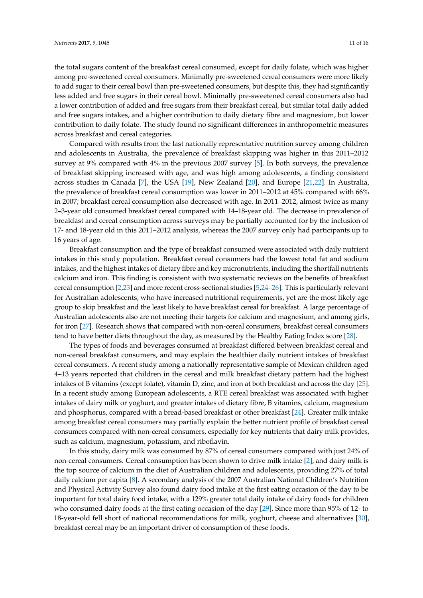the total sugars content of the breakfast cereal consumed, except for daily folate, which was higher among pre-sweetened cereal consumers. Minimally pre-sweetened cereal consumers were more likely to add sugar to their cereal bowl than pre-sweetened consumers, but despite this, they had significantly less added and free sugars in their cereal bowl. Minimally pre-sweetened cereal consumers also had a lower contribution of added and free sugars from their breakfast cereal, but similar total daily added and free sugars intakes, and a higher contribution to daily dietary fibre and magnesium, but lower contribution to daily folate. The study found no significant differences in anthropometric measures across breakfast and cereal categories.

Compared with results from the last nationally representative nutrition survey among children and adolescents in Australia, the prevalence of breakfast skipping was higher in this 2011–2012 survey at 9% compared with 4% in the previous 2007 survey [\[5\]](#page-13-4). In both surveys, the prevalence of breakfast skipping increased with age, and was high among adolescents, a finding consistent across studies in Canada [\[7\]](#page-13-5), the USA [\[19\]](#page-14-4), New Zealand [\[20\]](#page-14-5), and Europe [\[21](#page-14-6)[,22\]](#page-14-7). In Australia, the prevalence of breakfast cereal consumption was lower in 2011–2012 at 45% compared with 66% in 2007; breakfast cereal consumption also decreased with age. In 2011–2012, almost twice as many 2–3-year old consumed breakfast cereal compared with 14–18-year old. The decrease in prevalence of breakfast and cereal consumption across surveys may be partially accounted for by the inclusion of 17- and 18-year old in this 2011–2012 analysis, whereas the 2007 survey only had participants up to 16 years of age.

Breakfast consumption and the type of breakfast consumed were associated with daily nutrient intakes in this study population. Breakfast cereal consumers had the lowest total fat and sodium intakes, and the highest intakes of dietary fibre and key micronutrients, including the shortfall nutrients calcium and iron. This finding is consistent with two systematic reviews on the benefits of breakfast cereal consumption [\[2,](#page-13-1)[23\]](#page-14-8) and more recent cross-sectional studies [\[5](#page-13-4)[,24–](#page-14-9)[26\]](#page-14-10). This is particularly relevant for Australian adolescents, who have increased nutritional requirements, yet are the most likely age group to skip breakfast and the least likely to have breakfast cereal for breakfast. A large percentage of Australian adolescents also are not meeting their targets for calcium and magnesium, and among girls, for iron [\[27\]](#page-14-11). Research shows that compared with non-cereal consumers, breakfast cereal consumers tend to have better diets throughout the day, as measured by the Healthy Eating Index score [\[28\]](#page-14-12).

The types of foods and beverages consumed at breakfast differed between breakfast cereal and non-cereal breakfast consumers, and may explain the healthier daily nutrient intakes of breakfast cereal consumers. A recent study among a nationally representative sample of Mexican children aged 4–13 years reported that children in the cereal and milk breakfast dietary pattern had the highest intakes of B vitamins (except folate), vitamin D, zinc, and iron at both breakfast and across the day [\[25\]](#page-14-13). In a recent study among European adolescents, a RTE cereal breakfast was associated with higher intakes of dairy milk or yoghurt, and greater intakes of dietary fibre, B vitamins, calcium, magnesium and phosphorus, compared with a bread-based breakfast or other breakfast [\[24\]](#page-14-9). Greater milk intake among breakfast cereal consumers may partially explain the better nutrient profile of breakfast cereal consumers compared with non-cereal consumers, especially for key nutrients that dairy milk provides, such as calcium, magnesium, potassium, and riboflavin.

In this study, dairy milk was consumed by 87% of cereal consumers compared with just 24% of non-cereal consumers. Cereal consumption has been shown to drive milk intake [\[2\]](#page-13-1), and dairy milk is the top source of calcium in the diet of Australian children and adolescents, providing 27% of total daily calcium per capita [\[8\]](#page-13-6). A secondary analysis of the 2007 Australian National Children's Nutrition and Physical Activity Survey also found dairy food intake at the first eating occasion of the day to be important for total dairy food intake, with a 129% greater total daily intake of dairy foods for children who consumed dairy foods at the first eating occasion of the day [\[29\]](#page-14-14). Since more than 95% of 12- to 18-year-old fell short of national recommendations for milk, yoghurt, cheese and alternatives [\[30\]](#page-14-15), breakfast cereal may be an important driver of consumption of these foods.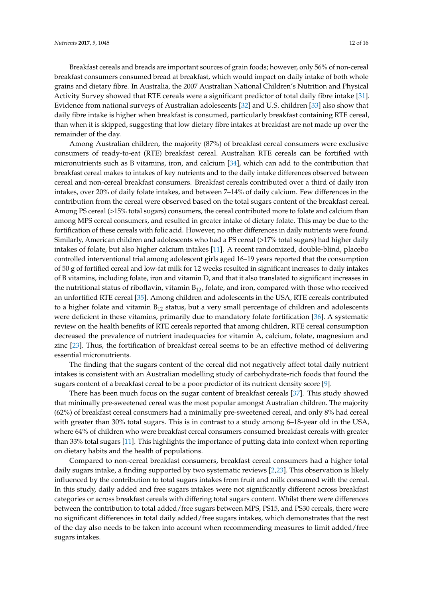Breakfast cereals and breads are important sources of grain foods; however, only 56% of non-cereal breakfast consumers consumed bread at breakfast, which would impact on daily intake of both whole grains and dietary fibre. In Australia, the 2007 Australian National Children's Nutrition and Physical Activity Survey showed that RTE cereals were a significant predictor of total daily fibre intake [\[31\]](#page-14-16). Evidence from national surveys of Australian adolescents [\[32\]](#page-14-17) and U.S. children [\[33\]](#page-14-18) also show that daily fibre intake is higher when breakfast is consumed, particularly breakfast containing RTE cereal, than when it is skipped, suggesting that low dietary fibre intakes at breakfast are not made up over the remainder of the day.

Among Australian children, the majority (87%) of breakfast cereal consumers were exclusive consumers of ready-to-eat (RTE) breakfast cereal. Australian RTE cereals can be fortified with micronutrients such as B vitamins, iron, and calcium [\[34\]](#page-15-0), which can add to the contribution that breakfast cereal makes to intakes of key nutrients and to the daily intake differences observed between cereal and non-cereal breakfast consumers. Breakfast cereals contributed over a third of daily iron intakes, over 20% of daily folate intakes, and between 7–14% of daily calcium. Few differences in the contribution from the cereal were observed based on the total sugars content of the breakfast cereal. Among PS cereal (>15% total sugars) consumers, the cereal contributed more to folate and calcium than among MPS cereal consumers, and resulted in greater intake of dietary folate. This may be due to the fortification of these cereals with folic acid. However, no other differences in daily nutrients were found. Similarly, American children and adolescents who had a PS cereal (>17% total sugars) had higher daily intakes of folate, but also higher calcium intakes [\[11\]](#page-13-9). A recent randomized, double-blind, placebo controlled interventional trial among adolescent girls aged 16–19 years reported that the consumption of 50 g of fortified cereal and low-fat milk for 12 weeks resulted in significant increases to daily intakes of B vitamins, including folate, iron and vitamin D, and that it also translated to significant increases in the nutritional status of riboflavin, vitamin  $B_{12}$ , folate, and iron, compared with those who received an unfortified RTE cereal [\[35\]](#page-15-1). Among children and adolescents in the USA, RTE cereals contributed to a higher folate and vitamin  $B_{12}$  status, but a very small percentage of children and adolescents were deficient in these vitamins, primarily due to mandatory folate fortification [\[36\]](#page-15-2). A systematic review on the health benefits of RTE cereals reported that among children, RTE cereal consumption decreased the prevalence of nutrient inadequacies for vitamin A, calcium, folate, magnesium and zinc [\[23\]](#page-14-8). Thus, the fortification of breakfast cereal seems to be an effective method of delivering essential micronutrients.

The finding that the sugars content of the cereal did not negatively affect total daily nutrient intakes is consistent with an Australian modelling study of carbohydrate-rich foods that found the sugars content of a breakfast cereal to be a poor predictor of its nutrient density score [\[9\]](#page-13-7).

There has been much focus on the sugar content of breakfast cereals [\[37\]](#page-15-3). This study showed that minimally pre-sweetened cereal was the most popular amongst Australian children. The majority (62%) of breakfast cereal consumers had a minimally pre-sweetened cereal, and only 8% had cereal with greater than 30% total sugars. This is in contrast to a study among 6–18-year old in the USA, where 64% of children who were breakfast cereal consumers consumed breakfast cereals with greater than 33% total sugars [\[11\]](#page-13-9). This highlights the importance of putting data into context when reporting on dietary habits and the health of populations.

Compared to non-cereal breakfast consumers, breakfast cereal consumers had a higher total daily sugars intake, a finding supported by two systematic reviews [\[2,](#page-13-1)[23\]](#page-14-8). This observation is likely influenced by the contribution to total sugars intakes from fruit and milk consumed with the cereal. In this study, daily added and free sugars intakes were not significantly different across breakfast categories or across breakfast cereals with differing total sugars content. Whilst there were differences between the contribution to total added/free sugars between MPS, PS15, and PS30 cereals, there were no significant differences in total daily added/free sugars intakes, which demonstrates that the rest of the day also needs to be taken into account when recommending measures to limit added/free sugars intakes.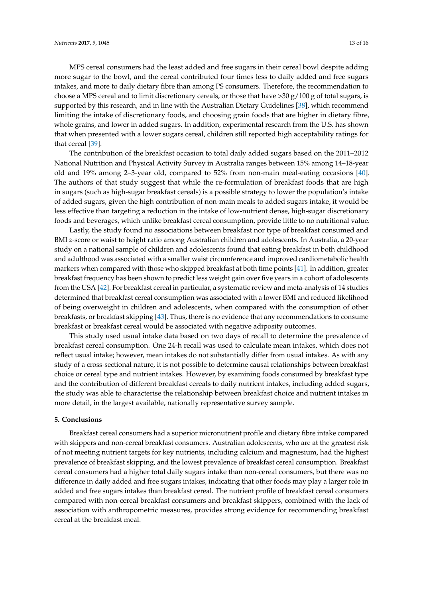MPS cereal consumers had the least added and free sugars in their cereal bowl despite adding more sugar to the bowl, and the cereal contributed four times less to daily added and free sugars intakes, and more to daily dietary fibre than among PS consumers. Therefore, the recommendation to choose a MPS cereal and to limit discretionary cereals, or those that have  $>$ 30 g/100 g of total sugars, is supported by this research, and in line with the Australian Dietary Guidelines [\[38\]](#page-15-4), which recommend limiting the intake of discretionary foods, and choosing grain foods that are higher in dietary fibre, whole grains, and lower in added sugars. In addition, experimental research from the U.S. has shown that when presented with a lower sugars cereal, children still reported high acceptability ratings for that cereal [\[39\]](#page-15-5).

The contribution of the breakfast occasion to total daily added sugars based on the 2011–2012 National Nutrition and Physical Activity Survey in Australia ranges between 15% among 14–18-year old and 19% among 2–3-year old, compared to 52% from non-main meal-eating occasions [\[40\]](#page-15-6). The authors of that study suggest that while the re-formulation of breakfast foods that are high in sugars (such as high-sugar breakfast cereals) is a possible strategy to lower the population's intake of added sugars, given the high contribution of non-main meals to added sugars intake, it would be less effective than targeting a reduction in the intake of low-nutrient dense, high-sugar discretionary foods and beverages, which unlike breakfast cereal consumption, provide little to no nutritional value.

Lastly, the study found no associations between breakfast nor type of breakfast consumed and BMI *z-*score or waist to height ratio among Australian children and adolescents. In Australia, a 20-year study on a national sample of children and adolescents found that eating breakfast in both childhood and adulthood was associated with a smaller waist circumference and improved cardiometabolic health markers when compared with those who skipped breakfast at both time points [\[41\]](#page-15-7). In addition, greater breakfast frequency has been shown to predict less weight gain over five years in a cohort of adolescents from the USA [\[42\]](#page-15-8). For breakfast cereal in particular, a systematic review and meta-analysis of 14 studies determined that breakfast cereal consumption was associated with a lower BMI and reduced likelihood of being overweight in children and adolescents, when compared with the consumption of other breakfasts, or breakfast skipping [\[43\]](#page-15-9). Thus, there is no evidence that any recommendations to consume breakfast or breakfast cereal would be associated with negative adiposity outcomes.

This study used usual intake data based on two days of recall to determine the prevalence of breakfast cereal consumption. One 24-h recall was used to calculate mean intakes, which does not reflect usual intake; however, mean intakes do not substantially differ from usual intakes. As with any study of a cross-sectional nature, it is not possible to determine causal relationships between breakfast choice or cereal type and nutrient intakes. However, by examining foods consumed by breakfast type and the contribution of different breakfast cereals to daily nutrient intakes, including added sugars, the study was able to characterise the relationship between breakfast choice and nutrient intakes in more detail, in the largest available, nationally representative survey sample.

## **5. Conclusions**

Breakfast cereal consumers had a superior micronutrient profile and dietary fibre intake compared with skippers and non-cereal breakfast consumers. Australian adolescents, who are at the greatest risk of not meeting nutrient targets for key nutrients, including calcium and magnesium, had the highest prevalence of breakfast skipping, and the lowest prevalence of breakfast cereal consumption. Breakfast cereal consumers had a higher total daily sugars intake than non-cereal consumers, but there was no difference in daily added and free sugars intakes, indicating that other foods may play a larger role in added and free sugars intakes than breakfast cereal. The nutrient profile of breakfast cereal consumers compared with non-cereal breakfast consumers and breakfast skippers, combined with the lack of association with anthropometric measures, provides strong evidence for recommending breakfast cereal at the breakfast meal.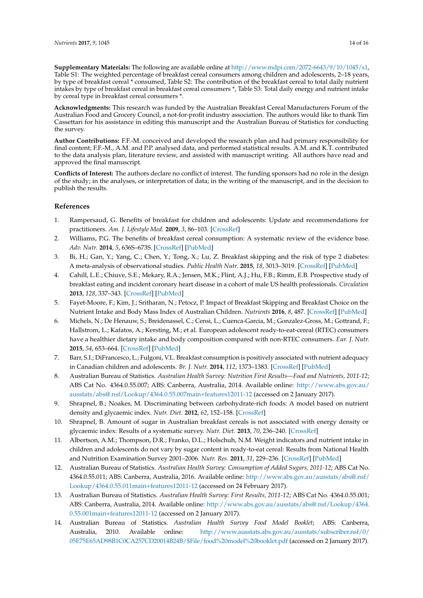**Supplementary Materials:** The following are available online at [http://www.mdpi.com/2072-6643/9/10/1045/s1,](http://www.mdpi.com/2072-6643/9/10/1045/s1) Table S1: The weighted percentage of breakfast cereal consumers among children and adolescents, 2–18 years, by type of breakfast cereal \* consumed, Table S2: The contribution of the breakfast cereal to total daily nutrient intakes by type of breakfast cereal in breakfast cereal consumers \*, Table S3: Total daily energy and nutrient intake by cereal type in breakfast cereal consumers \*.

**Acknowledgments:** This research was funded by the Australian Breakfast Cereal Manufacturers Forum of the Australian Food and Grocery Council, a not-for-profit industry association. The authors would like to thank Tim Cassettari for his assistance in editing this manuscript and the Australian Bureau of Statistics for conducting the survey.

**Author Contributions:** F.F.-M. conceived and developed the research plan and had primary responsibility for final content; F.F.-M., A.M. and P.P. analysed data, and performed statistical results. A.M. and K.T. contributed to the data analysis plan, literature review, and assisted with manuscript writing. All authors have read and approved the final manuscript.

**Conflicts of Interest:** The authors declare no conflict of interest. The funding sponsors had no role in the design of the study; in the analyses, or interpretation of data; in the writing of the manuscript, and in the decision to publish the results.

## **References**

- <span id="page-13-0"></span>1. Rampersaud, G. Benefits of breakfast for children and adolescents: Update and recommendations for practitioners. *Am. J. Lifestyle Med.* **2009**, *3*, 86–103. [\[CrossRef\]](http://dx.doi.org/10.1177/1559827608327219)
- <span id="page-13-1"></span>2. Williams, P.G. The benefits of breakfast cereal consumption: A systematic review of the evidence base. *Adv. Nutr.* **2014**, *5*, 636S–673S. [\[CrossRef\]](http://dx.doi.org/10.3945/an.114.006247) [\[PubMed\]](http://www.ncbi.nlm.nih.gov/pubmed/25225349)
- <span id="page-13-2"></span>3. Bi, H.; Gan, Y.; Yang, C.; Chen, Y.; Tong, X.; Lu, Z. Breakfast skipping and the risk of type 2 diabetes: A meta-analysis of observational studies. *Public Health Nutr.* **2015**, *18*, 3013–3019. [\[CrossRef\]](http://dx.doi.org/10.1017/S1368980015000257) [\[PubMed\]](http://www.ncbi.nlm.nih.gov/pubmed/25686619)
- <span id="page-13-3"></span>4. Cahill, L.E.; Chiuve, S.E.; Mekary, R.A.; Jensen, M.K.; Flint, A.J.; Hu, F.B.; Rimm, E.B. Prospective study of breakfast eating and incident coronary heart disease in a cohort of male US health professionals. *Circulation* **2013**, *128*, 337–343. [\[CrossRef\]](http://dx.doi.org/10.1161/CIRCULATIONAHA.113.001474) [\[PubMed\]](http://www.ncbi.nlm.nih.gov/pubmed/23877060)
- <span id="page-13-4"></span>5. Fayet-Moore, F.; Kim, J.; Sritharan, N.; Petocz, P. Impact of Breakfast Skipping and Breakfast Choice on the Nutrient Intake and Body Mass Index of Australian Children. *Nutrients* **2016**, *8*, 487. [\[CrossRef\]](http://dx.doi.org/10.3390/nu8080487) [\[PubMed\]](http://www.ncbi.nlm.nih.gov/pubmed/27517957)
- 6. Michels, N.; De Henauw, S.; Breidenassel, C.; Censi, L.; Cuenca-Garcia, M.; Gonzalez-Gross, M.; Gottrand, F.; Hallstrom, L.; Kafatos, A.; Kersting, M.; et al. European adolescent ready-to-eat-cereal (RTEC) consumers have a healthier dietary intake and body composition compared with non-RTEC consumers. *Eur. J. Nutr.* **2015**, *54*, 653–664. [\[CrossRef\]](http://dx.doi.org/10.1007/s00394-014-0805-x) [\[PubMed\]](http://www.ncbi.nlm.nih.gov/pubmed/25403942)
- <span id="page-13-5"></span>7. Barr, S.I.; DiFrancesco, L.; Fulgoni, V.L. Breakfast consumption is positively associated with nutrient adequacy in Canadian children and adolescents. *Br. J. Nutr.* **2014**, *112*, 1373–1383. [\[CrossRef\]](http://dx.doi.org/10.1017/S0007114514002190) [\[PubMed\]](http://www.ncbi.nlm.nih.gov/pubmed/25196844)
- <span id="page-13-6"></span>8. Australian Bureau of Statistics. *Australian Health Survey: Nutrition First Results—Food and Nutrients, 2011-12*; ABS Cat No. 4364.0.55.007; ABS: Canberra, Australia, 2014. Available online: [http://www.abs.gov.au/](http://www.abs.gov.au/ausstats/abs@.nsf/Lookup/4364.0.55.007main+features12011-12) [ausstats/abs@.nsf/Lookup/4364.0.55.007main+features12011-12](http://www.abs.gov.au/ausstats/abs@.nsf/Lookup/4364.0.55.007main+features12011-12) (accessed on 2 January 2017).
- <span id="page-13-7"></span>9. Shrapnel, B.; Noakes, M. Discriminating between carbohydrate-rich foods: A model based on nutrient density and glycaemic index. *Nutr. Diet.* **2012**, *62*, 152–158. [\[CrossRef\]](http://dx.doi.org/10.1111/j.1747-0080.2012.01590.x)
- <span id="page-13-8"></span>10. Shrapnel, B. Amount of sugar in Australian breakfast cereals is not associated with energy density or glycaemic index: Results of a systematic survey. *Nutr. Diet.* **2013**, *70*, 236–240. [\[CrossRef\]](http://dx.doi.org/10.1111/1747-0080.12014)
- <span id="page-13-9"></span>11. Albertson, A.M.; Thompson, D.R.; Franko, D.L.; Holschuh, N.M. Weight indicators and nutrient intake in children and adolescents do not vary by sugar content in ready-to-eat cereal: Results from National Health and Nutrition Examination Survey 2001–2006. *Nutr. Res.* **2011**, *31*, 229–236. [\[CrossRef\]](http://dx.doi.org/10.1016/j.nutres.2011.03.004) [\[PubMed\]](http://www.ncbi.nlm.nih.gov/pubmed/21481717)
- <span id="page-13-10"></span>12. Australian Bureau of Statistics. *Australian Health Survey: Consumption of Added Sugars, 2011-12*; ABS Cat No. 4364.0.55.011; ABS: Canberra, Australia, 2016. Available online: [http://www.abs.gov.au/ausstats/abs@.nsf/](http://www.abs.gov.au/ausstats/abs@.nsf/Lookup/4364.0.55.011main+features12011-12) [Lookup/4364.0.55.011main+features12011-12](http://www.abs.gov.au/ausstats/abs@.nsf/Lookup/4364.0.55.011main+features12011-12) (accessed on 24 February 2017).
- <span id="page-13-11"></span>13. Australian Bureau of Statistics. *Australian Health Survey: First Results, 2011-12*; ABS Cat No. 4364.0.55.001; ABS: Canberra, Australia, 2014. Available online: [http://www.abs.gov.au/ausstats/abs@.nsf/Lookup/4364.](http://www.abs.gov.au/ausstats/abs@.nsf/Lookup/4364.0.55.001main+features12011-12) [0.55.001main+features12011-12](http://www.abs.gov.au/ausstats/abs@.nsf/Lookup/4364.0.55.001main+features12011-12) (accessed on 2 January 2017).
- <span id="page-13-12"></span>14. Australian Bureau of Statistics. *Australian Health Survey Food Model Booklet*; ABS: Canberra, Australia, 2010. Available online: [http://www.ausstats.abs.gov.au/ausstats/subscriber.nsf/0/](http://www.ausstats.abs.gov.au/ausstats/subscriber.nsf/0/05E75E65AD98B1C0CA257CD20014B24B/$File/food%20model%20booklet.pdf) [05E75E65AD98B1C0CA257CD20014B24B/\\$File/food%20model%20booklet.pdf](http://www.ausstats.abs.gov.au/ausstats/subscriber.nsf/0/05E75E65AD98B1C0CA257CD20014B24B/$File/food%20model%20booklet.pdf) (accessed on 2 January 2017).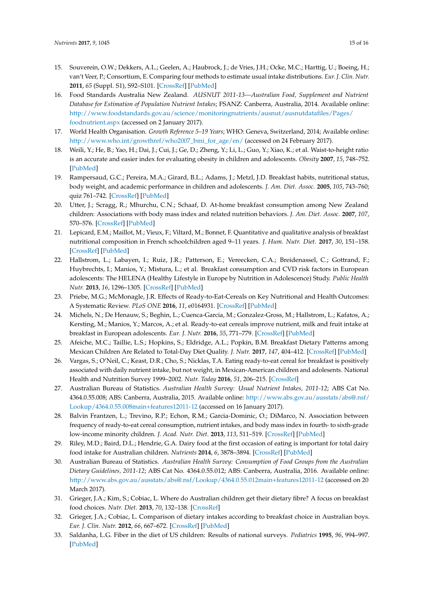- <span id="page-14-0"></span>15. Souverein, O.W.; Dekkers, A.L.; Geelen, A.; Haubrock, J.; de Vries, J.H.; Ocke, M.C.; Harttig, U.; Boeing, H.; van't Veer, P.; Consortium, E. Comparing four methods to estimate usual intake distributions. *Eur. J. Clin. Nutr.* **2011**, *65* (Suppl. S1), S92–S101. [\[CrossRef\]](http://dx.doi.org/10.1038/ejcn.2011.93) [\[PubMed\]](http://www.ncbi.nlm.nih.gov/pubmed/21731012)
- <span id="page-14-1"></span>16. Food Standards Australia New Zealand. *AUSNUT 2011-13—Australian Food, Supplement and Nutrient Database for Estimation of Population Nutrient Intakes*; FSANZ: Canberra, Australia, 2014. Available online: [http://www.foodstandards.gov.au/science/monitoringnutrients/ausnut/ausnutdatafiles/Pages/](http://www.foodstandards.gov.au/science/monitoringnutrients/ausnut/ausnutdatafiles/Pages/foodnutrient.aspx) [foodnutrient.aspx](http://www.foodstandards.gov.au/science/monitoringnutrients/ausnut/ausnutdatafiles/Pages/foodnutrient.aspx) (accessed on 2 January 2017).
- <span id="page-14-2"></span>17. World Health Organisation. *Growth Reference 5–19 Years*; WHO: Geneva, Switzerland, 2014; Available online: [http://www.who.int/growthref/who2007\\_bmi\\_for\\_age/en/](http://www.who.int/growthref/who2007_bmi_for_age/en/) (accessed on 24 February 2017).
- <span id="page-14-3"></span>18. Weili, Y.; He, B.; Yao, H.; Dai, J.; Cui, J.; Ge, D.; Zheng, Y.; Li, L.; Guo, Y.; Xiao, K.; et al. Waist-to-height ratio is an accurate and easier index for evaluating obesity in children and adolescents. *Obesity* **2007**, *15*, 748–752. [\[PubMed\]](http://www.ncbi.nlm.nih.gov/pubmed/17372326)
- <span id="page-14-4"></span>19. Rampersaud, G.C.; Pereira, M.A.; Girard, B.L.; Adams, J.; Metzl, J.D. Breakfast habits, nutritional status, body weight, and academic performance in children and adolescents. *J. Am. Diet. Assoc.* **2005**, *105*, 743–760; quiz 761–742. [\[CrossRef\]](http://dx.doi.org/10.1016/j.jada.2005.02.007) [\[PubMed\]](http://www.ncbi.nlm.nih.gov/pubmed/15883552)
- <span id="page-14-5"></span>20. Utter, J.; Scragg, R.; Mhurchu, C.N.; Schaaf, D. At-home breakfast consumption among New Zealand children: Associations with body mass index and related nutrition behaviors. *J. Am. Diet. Assoc.* **2007**, *107*, 570–576. [\[CrossRef\]](http://dx.doi.org/10.1016/j.jada.2007.01.010) [\[PubMed\]](http://www.ncbi.nlm.nih.gov/pubmed/17383261)
- <span id="page-14-6"></span>21. Lepicard, E.M.; Maillot, M.; Vieux, F.; Viltard, M.; Bonnet, F. Quantitative and qualitative analysis of breakfast nutritional composition in French schoolchildren aged 9–11 years. *J. Hum. Nutr. Diet.* **2017**, *30*, 151–158. [\[CrossRef\]](http://dx.doi.org/10.1111/jhn.12412) [\[PubMed\]](http://www.ncbi.nlm.nih.gov/pubmed/27714860)
- <span id="page-14-7"></span>22. Hallstrom, L.; Labayen, I.; Ruiz, J.R.; Patterson, E.; Vereecken, C.A.; Breidenassel, C.; Gottrand, F.; Huybrechts, I.; Manios, Y.; Mistura, L.; et al. Breakfast consumption and CVD risk factors in European adolescents: The HELENA (Healthy Lifestyle in Europe by Nutrition in Adolescence) Study. *Public Health Nutr.* **2013**, *16*, 1296–1305. [\[CrossRef\]](http://dx.doi.org/10.1017/S1368980012000973) [\[PubMed\]](http://www.ncbi.nlm.nih.gov/pubmed/22494882)
- <span id="page-14-8"></span>23. Priebe, M.G.; McMonagle, J.R. Effects of Ready-to-Eat-Cereals on Key Nutritional and Health Outcomes: A Systematic Review. *PLoS ONE* **2016**, *11*, e0164931. [\[CrossRef\]](http://dx.doi.org/10.1371/journal.pone.0164931) [\[PubMed\]](http://www.ncbi.nlm.nih.gov/pubmed/27749919)
- <span id="page-14-9"></span>24. Michels, N.; De Henauw, S.; Beghin, L.; Cuenca-Garcia, M.; Gonzalez-Gross, M.; Hallstrom, L.; Kafatos, A.; Kersting, M.; Manios, Y.; Marcos, A.; et al. Ready-to-eat cereals improve nutrient, milk and fruit intake at breakfast in European adolescents. *Eur. J. Nutr.* **2016**, *55*, 771–779. [\[CrossRef\]](http://dx.doi.org/10.1007/s00394-015-0898-x) [\[PubMed\]](http://www.ncbi.nlm.nih.gov/pubmed/25893716)
- <span id="page-14-13"></span>25. Afeiche, M.C.; Taillie, L.S.; Hopkins, S.; Eldridge, A.L.; Popkin, B.M. Breakfast Dietary Patterns among Mexican Children Are Related to Total-Day Diet Quality. *J. Nutr.* **2017**, *147*, 404–412. [\[CrossRef\]](http://dx.doi.org/10.3945/jn.116.239780) [\[PubMed\]](http://www.ncbi.nlm.nih.gov/pubmed/28148681)
- <span id="page-14-10"></span>26. Vargas, S.; O'Neil, C.; Keast, D.R.; Cho, S.; Nicklas, T.A. Eating ready-to-eat cereal for breakfast is positively associated with daily nutrient intake, but not weight, in Mexican-American children and adolesents. National Health and Nutrition Survey 1999–2002. *Nutr. Today* **2016**, *51*, 206–215. [\[CrossRef\]](http://dx.doi.org/10.1097/NT.0b013e3182993988)
- <span id="page-14-11"></span>27. Australian Bureau of Statistics. *Australian Health Survey: Usual Nutrient Intakes, 2011-12*; ABS Cat No. 4364.0.55.008; ABS: Canberra, Australia, 2015. Available online: [http://www.abs.gov.au/ausstats/abs@.nsf/](http://www.abs.gov.au/ausstats/abs@.nsf/Lookup/4364.0.55.008main+features12011-12) [Lookup/4364.0.55.008main+features12011-12](http://www.abs.gov.au/ausstats/abs@.nsf/Lookup/4364.0.55.008main+features12011-12) (accessed on 16 January 2017).
- <span id="page-14-12"></span>28. Balvin Frantzen, L.; Trevino, R.P.; Echon, R.M.; Garcia-Dominic, O.; DiMarco, N. Association between frequency of ready-to-eat cereal consumption, nutrient intakes, and body mass index in fourth- to sixth-grade low-income minority children. *J. Acad. Nutr. Diet.* **2013**, *113*, 511–519. [\[CrossRef\]](http://dx.doi.org/10.1016/j.jand.2013.01.006) [\[PubMed\]](http://www.ncbi.nlm.nih.gov/pubmed/23465566)
- <span id="page-14-14"></span>29. Riley, M.D.; Baird, D.L.; Hendrie, G.A. Dairy food at the first occasion of eating is important for total dairy food intake for Australian children. *Nutrients* **2014**, *6*, 3878–3894. [\[CrossRef\]](http://dx.doi.org/10.3390/nu6093878) [\[PubMed\]](http://www.ncbi.nlm.nih.gov/pubmed/25251295)
- <span id="page-14-15"></span>30. Australian Bureau of Statistics. *Australian Health Survey: Consumption of Food Groups from the Australian Dietary Guidelines, 2011-12*; ABS Cat No. 4364.0.55.012; ABS: Canberra, Australia, 2016. Available online: <http://www.abs.gov.au/ausstats/abs@.nsf/Lookup/4364.0.55.012main+features12011-12> (accessed on 20 March 2017).
- <span id="page-14-16"></span>31. Grieger, J.A.; Kim, S.; Cobiac, L. Where do Australian children get their dietary fibre? A focus on breakfast food choices. *Nutr. Diet.* **2013**, *70*, 132–138. [\[CrossRef\]](http://dx.doi.org/10.1111/j.1747-0080.2012.01640.x)
- <span id="page-14-17"></span>32. Grieger, J.A.; Cobiac, L. Comparison of dietary intakes according to breakfast choice in Australian boys. *Eur. J. Clin. Nutr.* **2012**, *66*, 667–672. [\[CrossRef\]](http://dx.doi.org/10.1038/ejcn.2011.220) [\[PubMed\]](http://www.ncbi.nlm.nih.gov/pubmed/22234045)
- <span id="page-14-18"></span>33. Saldanha, L.G. Fiber in the diet of US children: Results of national surveys. *Pediatrics* **1995**, *96*, 994–997. [\[PubMed\]](http://www.ncbi.nlm.nih.gov/pubmed/7494679)